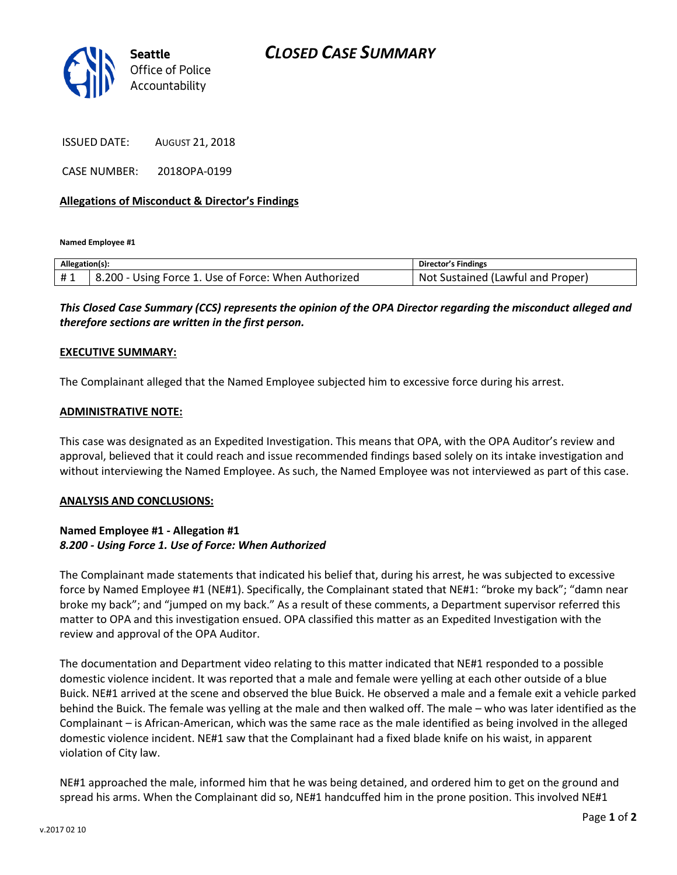

ISSUED DATE: AUGUST 21, 2018

CASE NUMBER: 2018OPA-0199

## **Allegations of Misconduct & Director's Findings**

**Named Employee #1**

| Allegation(s): |                                                       | Director's Findings                   |
|----------------|-------------------------------------------------------|---------------------------------------|
| #1             | 8.200<br>Using Force 1. Use of Force: When Authorized | Sustained (Lawful and Proper)<br>Not. |

*This Closed Case Summary (CCS) represents the opinion of the OPA Director regarding the misconduct alleged and therefore sections are written in the first person.* 

### **EXECUTIVE SUMMARY:**

The Complainant alleged that the Named Employee subjected him to excessive force during his arrest.

#### **ADMINISTRATIVE NOTE:**

This case was designated as an Expedited Investigation. This means that OPA, with the OPA Auditor's review and approval, believed that it could reach and issue recommended findings based solely on its intake investigation and without interviewing the Named Employee. As such, the Named Employee was not interviewed as part of this case.

#### **ANALYSIS AND CONCLUSIONS:**

## **Named Employee #1 - Allegation #1** *8.200 - Using Force 1. Use of Force: When Authorized*

The Complainant made statements that indicated his belief that, during his arrest, he was subjected to excessive force by Named Employee #1 (NE#1). Specifically, the Complainant stated that NE#1: "broke my back"; "damn near broke my back"; and "jumped on my back." As a result of these comments, a Department supervisor referred this matter to OPA and this investigation ensued. OPA classified this matter as an Expedited Investigation with the review and approval of the OPA Auditor.

The documentation and Department video relating to this matter indicated that NE#1 responded to a possible domestic violence incident. It was reported that a male and female were yelling at each other outside of a blue Buick. NE#1 arrived at the scene and observed the blue Buick. He observed a male and a female exit a vehicle parked behind the Buick. The female was yelling at the male and then walked off. The male – who was later identified as the Complainant – is African-American, which was the same race as the male identified as being involved in the alleged domestic violence incident. NE#1 saw that the Complainant had a fixed blade knife on his waist, in apparent violation of City law.

NE#1 approached the male, informed him that he was being detained, and ordered him to get on the ground and spread his arms. When the Complainant did so, NE#1 handcuffed him in the prone position. This involved NE#1